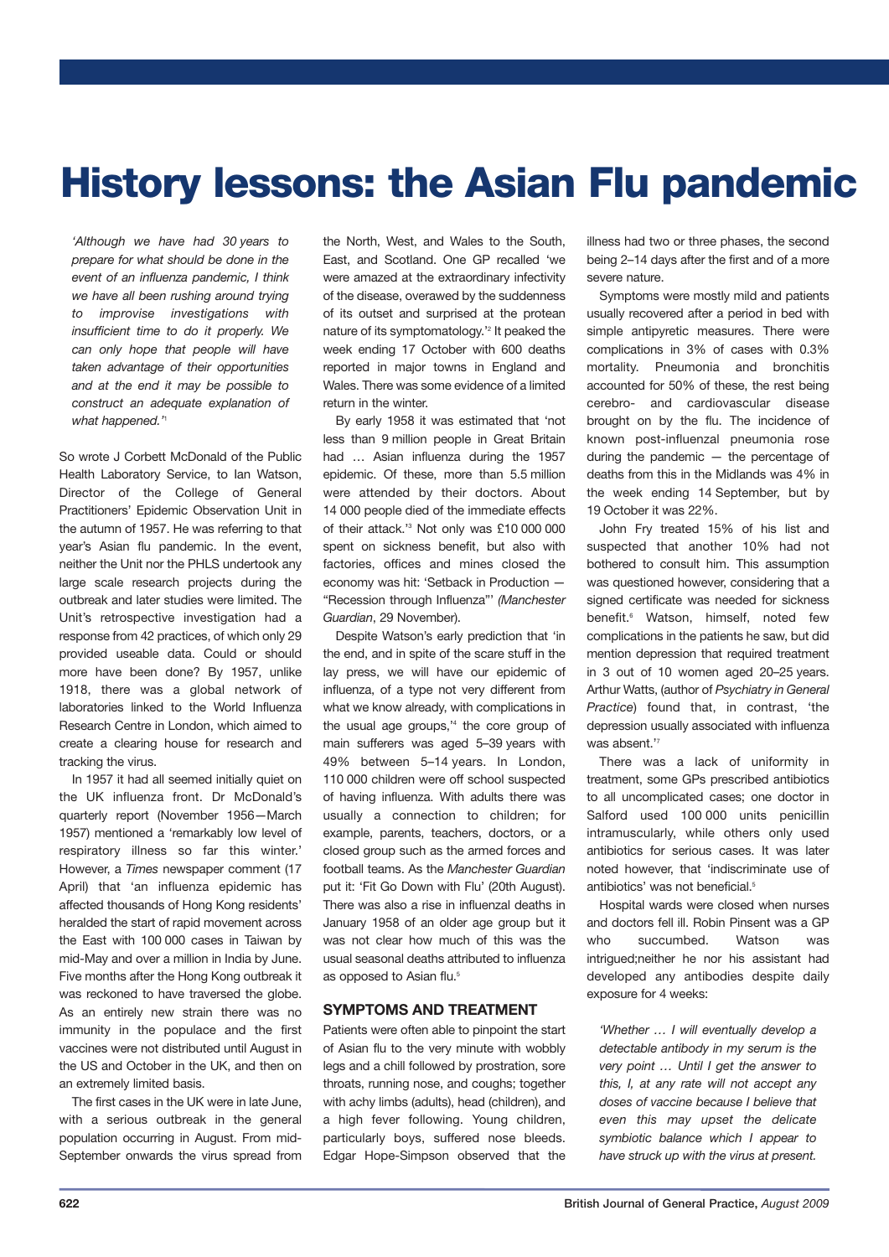# **History lessons: the Asian Flu pandemic**

*'Although we have had 30 years to prepare for what should be done in the event of an influenza pandemic, I think we have all been rushing around trying to improvise investigations with insufficient time to do it properly. We can only hope that people will have taken advantage of their opportunities and at the end it may be possible to construct an adequate explanation of what happened.'* 1

So wrote J Corbett McDonald of the Public Health Laboratory Service, to Ian Watson, Director of the College of General Practitioners' Epidemic Observation Unit in the autumn of 1957. He was referring to that year's Asian flu pandemic. In the event, neither the Unit nor the PHLS undertook any large scale research projects during the outbreak and later studies were limited. The Unit's retrospective investigation had a response from 42 practices, of which only 29 provided useable data. Could or should more have been done? By 1957, unlike 1918, there was a global network of laboratories linked to the World Influenza Research Centre in London, which aimed to create a clearing house for research and tracking the virus.

In 1957 it had all seemed initially quiet on the UK influenza front. Dr McDonald's quarterly report (November 1956—March 1957) mentioned a 'remarkably low level of respiratory illness so far this winter.' However, a *Times* newspaper comment (17 April) that 'an influenza epidemic has affected thousands of Hong Kong residents' heralded the start of rapid movement across the East with 100 000 cases in Taiwan by mid-May and over a million in India by June. Five months after the Hong Kong outbreak it was reckoned to have traversed the globe. As an entirely new strain there was no immunity in the populace and the first vaccines were not distributed until August in the US and October in the UK, and then on an extremely limited basis.

The first cases in the UK were in late June, with a serious outbreak in the general population occurring in August. From mid-September onwards the virus spread from

the North, West, and Wales to the South, East, and Scotland. One GP recalled 'we were amazed at the extraordinary infectivity of the disease, overawed by the suddenness of its outset and surprised at the protean nature of its symptomatology.' <sup>2</sup> It peaked the week ending 17 October with 600 deaths reported in major towns in England and Wales. There was some evidence of a limited return in the winter.

By early 1958 it was estimated that 'not less than 9 million people in Great Britain had … Asian influenza during the 1957 epidemic. Of these, more than 5.5 million were attended by their doctors. About 14 000 people died of the immediate effects of their attack.' <sup>3</sup> Not only was £10 000 000 spent on sickness benefit, but also with factories, offices and mines closed the economy was hit: 'Setback in Production — "Recession through Influenza"' *(Manchester Guardian*, 29 November).

Despite Watson's early prediction that 'in the end, and in spite of the scare stuff in the lay press, we will have our epidemic of influenza, of a type not very different from what we know already, with complications in the usual age groups,' <sup>4</sup> the core group of main sufferers was aged 5–39 years with 49% between 5–14 years. In London, 110 000 children were off school suspected of having influenza. With adults there was usually a connection to children; for example, parents, teachers, doctors, or a closed group such as the armed forces and football teams. As the *Manchester Guardian* put it: 'Fit Go Down with Flu' (20th August). There was also a rise in influenzal deaths in January 1958 of an older age group but it was not clear how much of this was the usual seasonal deaths attributed to influenza as opposed to Asian flu. 5

## **SYMPTOMS AND TREATMENT**

Patients were often able to pinpoint the start of Asian flu to the very minute with wobbly legs and a chill followed by prostration, sore throats, running nose, and coughs; together with achy limbs (adults), head (children), and a high fever following. Young children, particularly boys, suffered nose bleeds. Edgar Hope-Simpson observed that the

illness had two or three phases, the second being 2–14 days after the first and of a more severe nature.

Symptoms were mostly mild and patients usually recovered after a period in bed with simple antipyretic measures. There were complications in 3% of cases with 0.3% mortality. Pneumonia and bronchitis accounted for 50% of these, the rest being cerebro- and cardiovascular disease brought on by the flu. The incidence of known post-influenzal pneumonia rose during the pandemic — the percentage of deaths from this in the Midlands was 4% in the week ending 14 September, but by 19 October it was 22%.

John Fry treated 15% of his list and suspected that another 10% had not bothered to consult him. This assumption was questioned however, considering that a signed certificate was needed for sickness benefit. <sup>6</sup> Watson, himself, noted few complications in the patients he saw, but did mention depression that required treatment in 3 out of 10 women aged 20–25 years. Arthur Watts, (author of *Psychiatry in General Practice*) found that, in contrast, 'the depression usually associated with influenza was absent."

There was a lack of uniformity in treatment, some GPs prescribed antibiotics to all uncomplicated cases; one doctor in Salford used 100 000 units penicillin intramuscularly, while others only used antibiotics for serious cases. It was later noted however, that 'indiscriminate use of antibiotics' was not beneficial.<sup>6</sup>

Hospital wards were closed when nurses and doctors fell ill. Robin Pinsent was a GP who succumbed. Watson was intrigued;neither he nor his assistant had developed any antibodies despite daily exposure for 4 weeks:

*'Whether … I will eventually develop a detectable antibody in my serum is the very point … Until I get the answer to this, I, at any rate will not accept any doses of vaccine because I believe that even this may upset the delicate symbiotic balance which I appear to have struck up with the virus at present.*